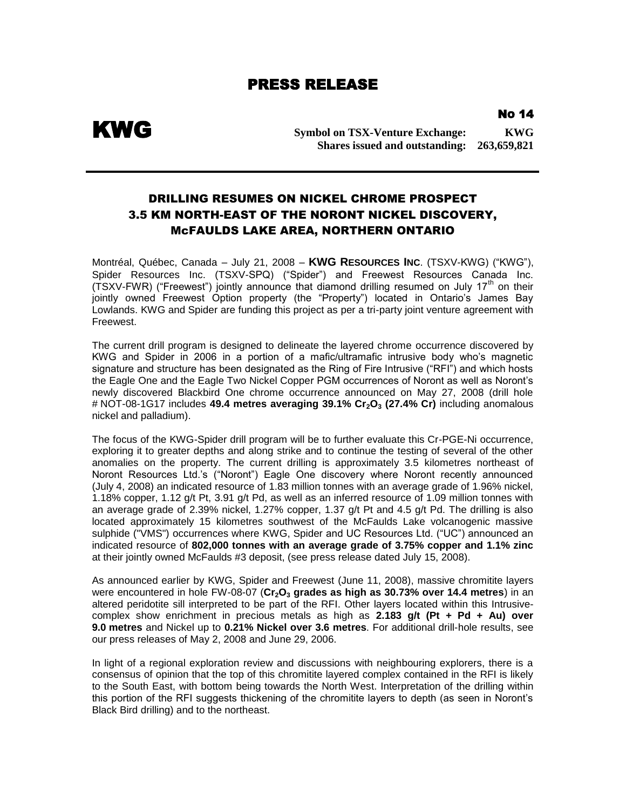## PRESS RELEASE

NO 14

KWG

**Symbol on TSX-Venture Exchange: KWG Shares issued and outstanding: 263,659,821**

## DRILLING RESUMES ON NICKEL CHROME PROSPECT 3.5 KM NORTH-EAST OF THE NORONT NICKEL DISCOVERY, McFAULDS LAKE AREA, NORTHERN ONTARIO

Montréal, Québec, Canada – July 21, 2008 – **KWG RESOURCES INC**. (TSXV-KWG) ("KWG"), Spider Resources Inc. (TSXV-SPQ) ("Spider") and Freewest Resources Canada Inc. (TSXV-FWR) ("Freewest") jointly announce that diamond drilling resumed on July 17<sup>th</sup> on their jointly owned Freewest Option property (the "Property") located in Ontario's James Bay Lowlands. KWG and Spider are funding this project as per a tri-party joint venture agreement with Freewest.

The current drill program is designed to delineate the layered chrome occurrence discovered by KWG and Spider in 2006 in a portion of a mafic/ultramafic intrusive body who's magnetic signature and structure has been designated as the Ring of Fire Intrusive ("RFI") and which hosts the Eagle One and the Eagle Two Nickel Copper PGM occurrences of Noront as well as Noront's newly discovered Blackbird One chrome occurrence announced on May 27, 2008 (drill hole # NOT-08-1G17 includes **49.4 metres averaging 39.1% Cr2O<sup>3</sup> (27.4% Cr)** including anomalous nickel and palladium).

The focus of the KWG-Spider drill program will be to further evaluate this Cr-PGE-Ni occurrence, exploring it to greater depths and along strike and to continue the testing of several of the other anomalies on the property. The current drilling is approximately 3.5 kilometres northeast of Noront Resources Ltd.'s ("Noront") Eagle One discovery where Noront recently announced (July 4, 2008) an indicated resource of 1.83 million tonnes with an average grade of 1.96% nickel, 1.18% copper, 1.12 g/t Pt, 3.91 g/t Pd, as well as an inferred resource of 1.09 million tonnes with an average grade of 2.39% nickel, 1.27% copper, 1.37 g/t Pt and 4.5 g/t Pd. The drilling is also located approximately 15 kilometres southwest of the McFaulds Lake volcanogenic massive sulphide ("VMS") occurrences where KWG, Spider and UC Resources Ltd. ("UC") announced an indicated resource of **802,000 tonnes with an average grade of 3.75% copper and 1.1% zinc** at their jointly owned McFaulds #3 deposit, (see press release dated July 15, 2008).

As announced earlier by KWG, Spider and Freewest (June 11, 2008), massive chromitite layers were encountered in hole FW-08-07 (Cr<sub>2</sub>O<sub>3</sub> grades as high as 30.73% over 14.4 metres) in an altered peridotite sill interpreted to be part of the RFI. Other layers located within this Intrusivecomplex show enrichment in precious metals as high as **2.183 g/t (Pt + Pd + Au) over 9.0 metres** and Nickel up to **0.21% Nickel over 3.6 metres**. For additional drill-hole results, see our press releases of May 2, 2008 and June 29, 2006.

In light of a regional exploration review and discussions with neighbouring explorers, there is a consensus of opinion that the top of this chromitite layered complex contained in the RFI is likely to the South East, with bottom being towards the North West. Interpretation of the drilling within this portion of the RFI suggests thickening of the chromitite layers to depth (as seen in Noront's Black Bird drilling) and to the northeast.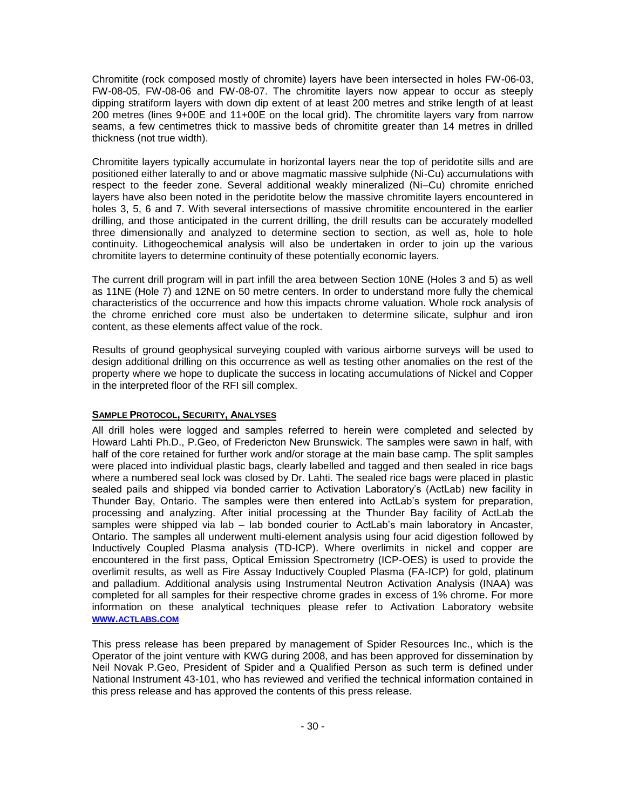Chromitite (rock composed mostly of chromite) layers have been intersected in holes FW-06-03, FW-08-05, FW-08-06 and FW-08-07. The chromitite layers now appear to occur as steeply dipping stratiform layers with down dip extent of at least 200 metres and strike length of at least 200 metres (lines 9+00E and 11+00E on the local grid). The chromitite layers vary from narrow seams, a few centimetres thick to massive beds of chromitite greater than 14 metres in drilled thickness (not true width).

Chromitite layers typically accumulate in horizontal layers near the top of peridotite sills and are positioned either laterally to and or above magmatic massive sulphide (Ni-Cu) accumulations with respect to the feeder zone. Several additional weakly mineralized (Ni–Cu) chromite enriched layers have also been noted in the peridotite below the massive chromitite layers encountered in holes 3, 5, 6 and 7. With several intersections of massive chromitite encountered in the earlier drilling, and those anticipated in the current drilling, the drill results can be accurately modelled three dimensionally and analyzed to determine section to section, as well as, hole to hole continuity. Lithogeochemical analysis will also be undertaken in order to join up the various chromitite layers to determine continuity of these potentially economic layers.

The current drill program will in part infill the area between Section 10NE (Holes 3 and 5) as well as 11NE (Hole 7) and 12NE on 50 metre centers. In order to understand more fully the chemical characteristics of the occurrence and how this impacts chrome valuation. Whole rock analysis of the chrome enriched core must also be undertaken to determine silicate, sulphur and iron content, as these elements affect value of the rock.

Results of ground geophysical surveying coupled with various airborne surveys will be used to design additional drilling on this occurrence as well as testing other anomalies on the rest of the property where we hope to duplicate the success in locating accumulations of Nickel and Copper in the interpreted floor of the RFI sill complex.

## **SAMPLE PROTOCOL, SECURITY, ANALYSES**

All drill holes were logged and samples referred to herein were completed and selected by Howard Lahti Ph.D., P.Geo, of Fredericton New Brunswick. The samples were sawn in half, with half of the core retained for further work and/or storage at the main base camp. The split samples were placed into individual plastic bags, clearly labelled and tagged and then sealed in rice bags where a numbered seal lock was closed by Dr. Lahti. The sealed rice bags were placed in plastic sealed pails and shipped via bonded carrier to Activation Laboratory's (ActLab) new facility in Thunder Bay, Ontario. The samples were then entered into ActLab's system for preparation, processing and analyzing. After initial processing at the Thunder Bay facility of ActLab the samples were shipped via lab – lab bonded courier to ActLab's main laboratory in Ancaster, Ontario. The samples all underwent multi-element analysis using four acid digestion followed by Inductively Coupled Plasma analysis (TD-ICP). Where overlimits in nickel and copper are encountered in the first pass, Optical Emission Spectrometry (ICP-OES) is used to provide the overlimit results, as well as Fire Assay Inductively Coupled Plasma (FA-ICP) for gold, platinum and palladium. Additional analysis using Instrumental Neutron Activation Analysis (INAA) was completed for all samples for their respective chrome grades in excess of 1% chrome. For more information on these analytical techniques please refer to Activation Laboratory website **WWW.[ACTLABS](http://www.actlabs.com/).COM**

This press release has been prepared by management of Spider Resources Inc., which is the Operator of the joint venture with KWG during 2008, and has been approved for dissemination by Neil Novak P.Geo, President of Spider and a Qualified Person as such term is defined under National Instrument 43-101, who has reviewed and verified the technical information contained in this press release and has approved the contents of this press release.